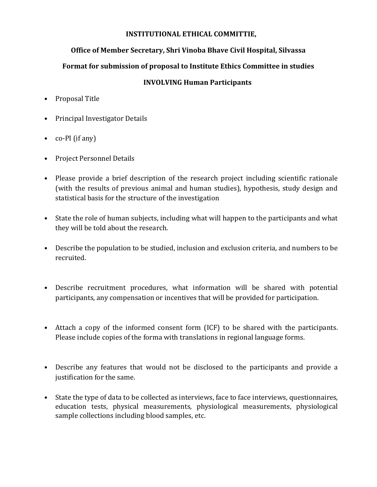#### **INSTITUTIONAL ETHICAL COMMITTIE,**

### **Office of Member Secretary, Shri Vinoba Bhave Civil Hospital, Silvassa**

## **Format for submission of proposal to Institute Ethics Committee in studies**

### **INVOLVING Human Participants**

- Proposal Title
- Principal Investigator Details
- co-PI (if any)
- Project Personnel Details
- Please provide a brief description of the research project including scientific rationale (with the results of previous animal and human studies), hypothesis, study design and statistical basis for the structure of the investigation
- State the role of human subjects, including what will happen to the participants and what they will be told about the research.
- Describe the population to be studied, inclusion and exclusion criteria, and numbers to be recruited.
- Describe recruitment procedures, what information will be shared with potential participants, any compensation or incentives that will be provided for participation.
- Attach a copy of the informed consent form (ICF) to be shared with the participants. Please include copies of the forma with translations in regional language forms.
- Describe any features that would not be disclosed to the participants and provide a justification for the same.
- State the type of data to be collected as interviews, face to face interviews, questionnaires, education tests, physical measurements, physiological measurements, physiological sample collections including blood samples, etc.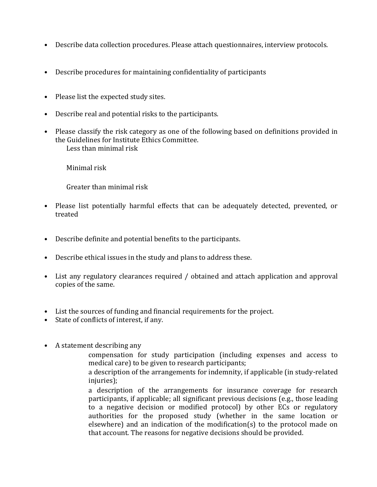- Describe data collection procedures. Please attach questionnaires, interview protocols.
- Describe procedures for maintaining confidentiality of participants
- Please list the expected study sites.
- Describe real and potential risks to the participants.
- Please classify the risk category as one of the following based on definitions provided in the Guidelines for Institute Ethics Committee. Less than minimal risk

Minimal risk

Greater than minimal risk

- Please list potentially harmful effects that can be adequately detected, prevented, or treated
- Describe definite and potential benefits to the participants.
- Describe ethical issues in the study and plans to address these.
- List any regulatory clearances required / obtained and attach application and approval copies of the same.
- List the sources of funding and financial requirements for the project.
- State of conflicts of interest, if any.
- A statement describing any

compensation for study participation (including expenses and access to medical care) to be given to research participants;

a description of the arrangements for indemnity, if applicable (in study-related injuries);

a description of the arrangements for insurance coverage for research participants, if applicable; all significant previous decisions (e.g., those leading to a negative decision or modified protocol) by other ECs or regulatory authorities for the proposed study (whether in the same location or elsewhere) and an indication of the modification(s) to the protocol made on that account. The reasons for negative decisions should be provided.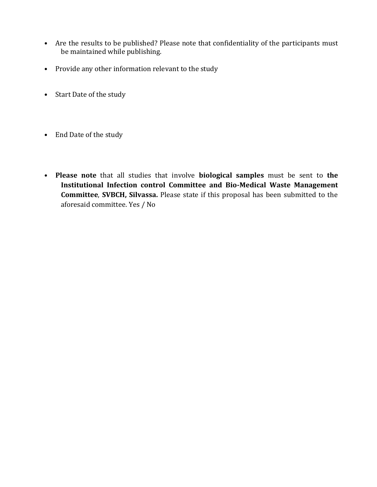- Are the results to be published? Please note that confidentiality of the participants must be maintained while publishing.
- Provide any other information relevant to the study
- Start Date of the study
- End Date of the study
- **Please note** that all studies that involve **biological samples** must be sent to **the Institutional Infection control Committee and Bio-Medical Waste Management Committee**, **SVBCH, Silvassa.** Please state if this proposal has been submitted to the aforesaid committee. Yes / No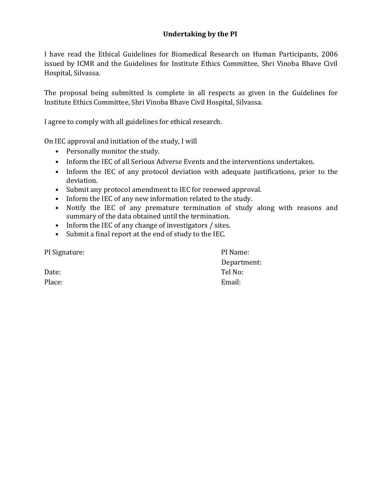## **Undertaking by the PI**

I have read the Ethical Guidelines for Biomedical Research on Human Participants, 2006 issued by ICMR and the Guidelines for Institute Ethics Committee, Shri Vinoba Bhave Civil Hospital, Silvassa.

The proposal being submitted is complete in all respects as given in the Guidelines for Institute Ethics Committee, Shri Vinoba Bhave Civil Hospital, Silvassa.

I agree to comply with all guidelines for ethical research.

On IEC approval and initiation of the study, I will

- Personally monitor the study.
- Inform the IEC of all Serious Adverse Events and the interventions undertaken.
- Inform the IEC of any protocol deviation with adequate justifications, prior to the deviation.
- Submit any protocol amendment to IEC for renewed approval.
- Inform the IEC of any new information related to the study.
- Notify the IEC of any premature termination of study along with reasons and summary of the data obtained until the termination.
- Inform the IEC of any change of investigators / sites.
- Submit a final report at the end of study to the IEC.

PI Signature: PI Name: Department: Date: Tel No: Place: Email: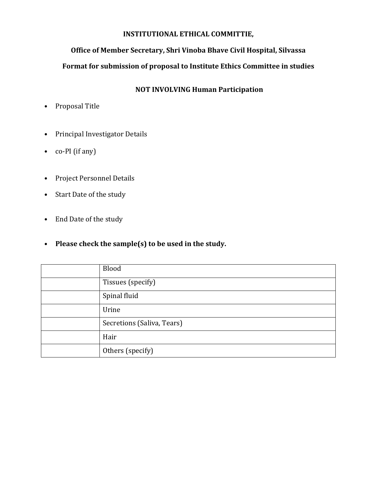#### **INSTITUTIONAL ETHICAL COMMITTIE,**

### **Office of Member Secretary, Shri Vinoba Bhave Civil Hospital, Silvassa**

## **Format for submission of proposal to Institute Ethics Committee in studies**

## **NOT INVOLVING Human Participation**

- Proposal Title
- Principal Investigator Details
- co-PI (if any)
- Project Personnel Details
- Start Date of the study
- End Date of the study
- **Please check the sample(s) to be used in the study.**

| Blood                      |
|----------------------------|
| Tissues (specify)          |
| Spinal fluid               |
| Urine                      |
| Secretions (Saliva, Tears) |
| Hair                       |
| Others (specify)           |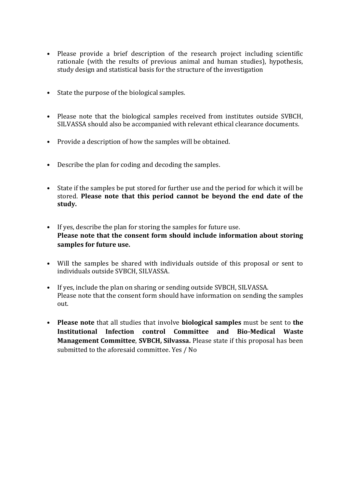- Please provide a brief description of the research project including scientific rationale (with the results of previous animal and human studies), hypothesis, study design and statistical basis for the structure of the investigation
- State the purpose of the biological samples.
- Please note that the biological samples received from institutes outside SVBCH, SILVASSA should also be accompanied with relevant ethical clearance documents.
- Provide a description of how the samples will be obtained.
- Describe the plan for coding and decoding the samples.
- State if the samples be put stored for further use and the period for which it will be stored. **Please note that this period cannot be beyond the end date of the study.**
- If yes, describe the plan for storing the samples for future use. **Please note that the consent form should include information about storing samples for future use.**
- Will the samples be shared with individuals outside of this proposal or sent to individuals outside SVBCH, SILVASSA.
- If yes, include the plan on sharing or sending outside SVBCH, SILVASSA. Please note that the consent form should have information on sending the samples out.
- **Please note** that all studies that involve **biological samples** must be sent to **the Institutional Infection control Committee and Bio-Medical Waste Management Committee**, **SVBCH, Silvassa.** Please state if this proposal has been submitted to the aforesaid committee. Yes / No